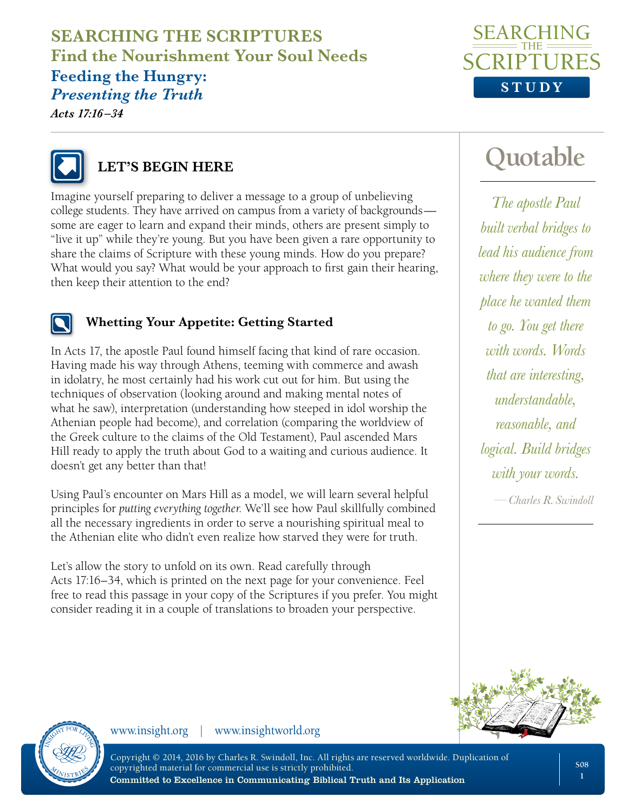# **SEARCHING THE SCRIPTURES Find the Nourishment Your Soul Needs**

#### **Feeding the Hungry:**  *Presenting the Truth*

*Acts 17:16 –34*





## **LET'S BEGIN HERE**

Imagine yourself preparing to deliver a message to a group of unbelieving college students. They have arrived on campus from a variety of backgrounds some are eager to learn and expand their minds, others are present simply to "live it up" while they're young. But you have been given a rare opportunity to share the claims of Scripture with these young minds. How do you prepare? What would you say? What would be your approach to first gain their hearing, then keep their attention to the end?



#### **Whetting Your Appetite: Getting Started**

In Acts 17, the apostle Paul found himself facing that kind of rare occasion. Having made his way through Athens, teeming with commerce and awash in idolatry, he most certainly had his work cut out for him. But using the techniques of observation (looking around and making mental notes of what he saw), interpretation (understanding how steeped in idol worship the Athenian people had become), and correlation (comparing the worldview of the Greek culture to the claims of the Old Testament), Paul ascended Mars Hill ready to apply the truth about God to a waiting and curious audience. It doesn't get any better than that!

Using Paul's encounter on Mars Hill as a model, we will learn several helpful principles for *putting everything together*. We'll see how Paul skillfully combined all the necessary ingredients in order to serve a nourishing spiritual meal to the Athenian elite who didn't even realize how starved they were for truth.

Let's allow the story to unfold on its own. Read carefully through Acts 17:16–34, which is printed on the next page for your convenience. Feel free to read this passage in your copy of the Scriptures if you prefer. You might consider reading it in a couple of translations to broaden your perspective.

# **Quotable**

*The apostle Paul built verbal bridges to lead his audience from where they were to the place he wanted them to go. You get there with words. Words that are interesting, understandable, reasonable, and logical. Build bridges with your words.*

*—Charles R. Swindoll*





www.insight.org | www.insightworld.org

Copyright © 2014, 2016 by Charles R. Swindoll, Inc. All rights are reserved worldwide. Duplication of copyrighted material for commercial use is strictly prohibited. Committed to Excellence in Communicating Biblical Truth and Its Application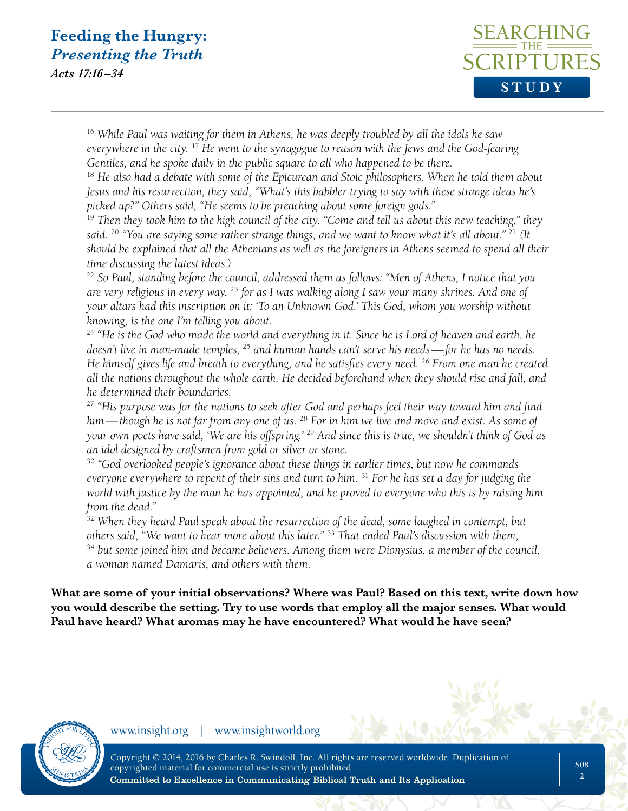*Acts 17:16 –34*



<sup>16</sup> *While Paul was waiting for them in Athens, he was deeply troubled by all the idols he saw everywhere in the city.* <sup>17</sup> *He went to the synagogue to reason with the Jews and the God-fearing Gentiles, and he spoke daily in the public square to all who happened to be there.*

<sup>18</sup> He also had a debate with some of the Epicurean and Stoic philosophers. When he told them about *Jesus and his resurrection, they said, "What's this babbler trying to say with these strange ideas he's picked up?" Others said, "He seems to be preaching about some foreign gods."*

<sup>19</sup> *Then they took him to the high council of the city. "Come and tell us about this new teaching," they said.* <sup>20</sup> *"You are saying some rather strange things, and we want to know what it's all about."* <sup>21</sup> *(It should be explained that all the Athenians as well as the foreigners in Athens seemed to spend all their time discussing the latest ideas.)*

<sup>22</sup> *So Paul, standing before the council, addressed them as follows: "Men of Athens, I notice that you are very religious in every way,* <sup>23</sup> *for as I was walking along I saw your many shrines. And one of your altars had this inscription on it: 'To an Unknown God.' This God, whom you worship without knowing, is the one I'm telling you about.*

<sup>24</sup> *"He is the God who made the world and everything in it. Since he is Lord of heaven and earth, he doesn't live in man-made temples,* <sup>25</sup> *and human hands can't serve his needs—for he has no needs. He himself gives life and breath to everything, and he satisfies every need.* <sup>26</sup> *From one man he created all the nations throughout the whole earth. He decided beforehand when they should rise and fall, and he determined their boundaries.*

<sup>27</sup> *"His purpose was for the nations to seek after God and perhaps feel their way toward him and find him—though he is not far from any one of us.* <sup>28</sup> *For in him we live and move and exist. As some of your own poets have said, 'We are his offspring.'* <sup>29</sup> *And since this is true, we shouldn't think of God as an idol designed by craftsmen from gold or silver or stone.*

<sup>30</sup> *"God overlooked people's ignorance about these things in earlier times, but now he commands everyone everywhere to repent of their sins and turn to him.* <sup>31</sup> *For he has set a day for judging the world with justice by the man he has appointed, and he proved to everyone who this is by raising him from the dead."*

<sup>32</sup> *When they heard Paul speak about the resurrection of the dead, some laughed in contempt, but others said, "We want to hear more about this later."* <sup>33</sup> *That ended Paul's discussion with them,* 

<sup>34</sup> *but some joined him and became believers. Among them were Dionysius, a member of the council, a woman named Damaris, and others with them.*

**What are some of your initial observations? Where was Paul? Based on this text, write down how you would describe the setting. Try to use words that employ all the major senses. What would Paul have heard? What aromas may he have encountered? What would he have seen?**

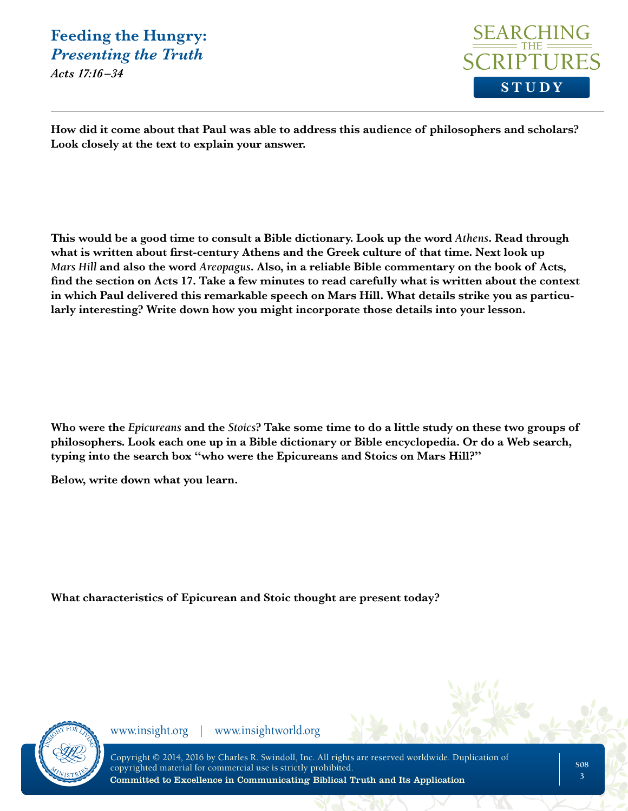*Acts 17:16 –34*



**How did it come about that Paul was able to address this audience of philosophers and scholars? Look closely at the text to explain your answer.** 

**This would be a good time to consult a Bible dictionary. Look up the word** *Athens***. Read through what is written about first-century Athens and the Greek culture of that time. Next look up**  *Mars Hill* **and also the word** *Areopagus***. Also, in a reliable Bible commentary on the book of Acts, find the section on Acts 17. Take a few minutes to read carefully what is written about the context in which Paul delivered this remarkable speech on Mars Hill. What details strike you as particularly interesting? Write down how you might incorporate those details into your lesson.**

**Who were the** *Epicureans* **and the** *Stoics***? Take some time to do a little study on these two groups of philosophers. Look each one up in a Bible dictionary or Bible encyclopedia. Or do a Web search, typing into the search box "who were the Epicureans and Stoics on Mars Hill?"** 

**Below, write down what you learn.**

**What characteristics of Epicurean and Stoic thought are present today?** 

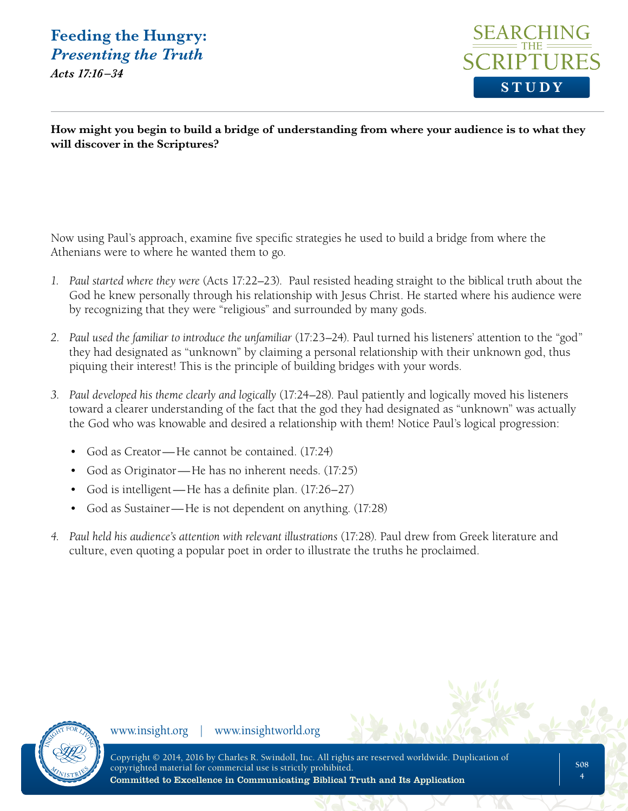*Acts 17:16 –34*



**How might you begin to build a bridge of understanding from where your audience is to what they will discover in the Scriptures?** 

Now using Paul's approach, examine five specific strategies he used to build a bridge from where the Athenians were to where he wanted them to go.

- *1. Paul started where they were* (Acts 17:22–23). Paul resisted heading straight to the biblical truth about the God he knew personally through his relationship with Jesus Christ. He started where his audience were by recognizing that they were "religious" and surrounded by many gods.
- *2. Paul used the familiar to introduce the unfamiliar* (17:23–24). Paul turned his listeners' attention to the "god" they had designated as "unknown" by claiming a personal relationship with their unknown god, thus piquing their interest! This is the principle of building bridges with your words.
- *3. Paul developed his theme clearly and logically* (17:24–28). Paul patiently and logically moved his listeners toward a clearer understanding of the fact that the god they had designated as "unknown" was actually the God who was knowable and desired a relationship with them! Notice Paul's logical progression:
	- God as Creator—He cannot be contained. (17:24)
	- God as Originator—He has no inherent needs. (17:25)
	- God is intelligent—He has a definite plan. (17:26–27)
	- God as Sustainer—He is not dependent on anything. (17:28)
- *4. Paul held his audience's attention with relevant illustrations* (17:28). Paul drew from Greek literature and culture, even quoting a popular poet in order to illustrate the truths he proclaimed.

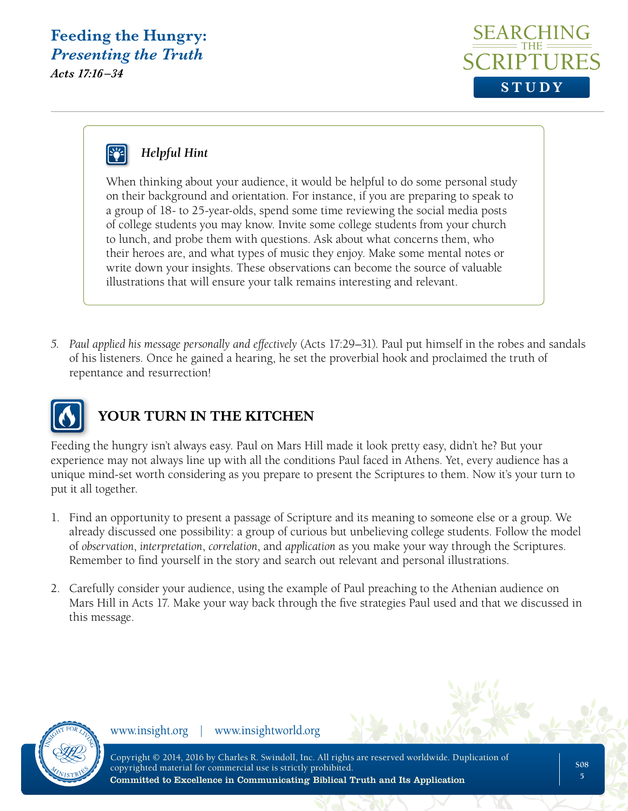*Acts 17:16 –34*





#### *Helpful Hint*

When thinking about your audience, it would be helpful to do some personal study on their background and orientation. For instance, if you are preparing to speak to a group of 18- to 25-year-olds, spend some time reviewing the social media posts of college students you may know. Invite some college students from your church to lunch, and probe them with questions. Ask about what concerns them, who their heroes are, and what types of music they enjoy. Make some mental notes or write down your insights. These observations can become the source of valuable illustrations that will ensure your talk remains interesting and relevant.

*5. Paul applied his message personally and effectively* (Acts 17:29–31). Paul put himself in the robes and sandals of his listeners. Once he gained a hearing, he set the proverbial hook and proclaimed the truth of repentance and resurrection!



#### **YOUR TURN IN THE KITCHEN**

Feeding the hungry isn't always easy. Paul on Mars Hill made it look pretty easy, didn't he? But your experience may not always line up with all the conditions Paul faced in Athens. Yet, every audience has a unique mind-set worth considering as you prepare to present the Scriptures to them. Now it's your turn to put it all together.

- 1. Find an opportunity to present a passage of Scripture and its meaning to someone else or a group. We already discussed one possibility: a group of curious but unbelieving college students. Follow the model of *observation*, *interpretation*, *correlation*, and *application* as you make your way through the Scriptures. Remember to find yourself in the story and search out relevant and personal illustrations.
- 2. Carefully consider your audience, using the example of Paul preaching to the Athenian audience on Mars Hill in Acts 17. Make your way back through the five strategies Paul used and that we discussed in this message.

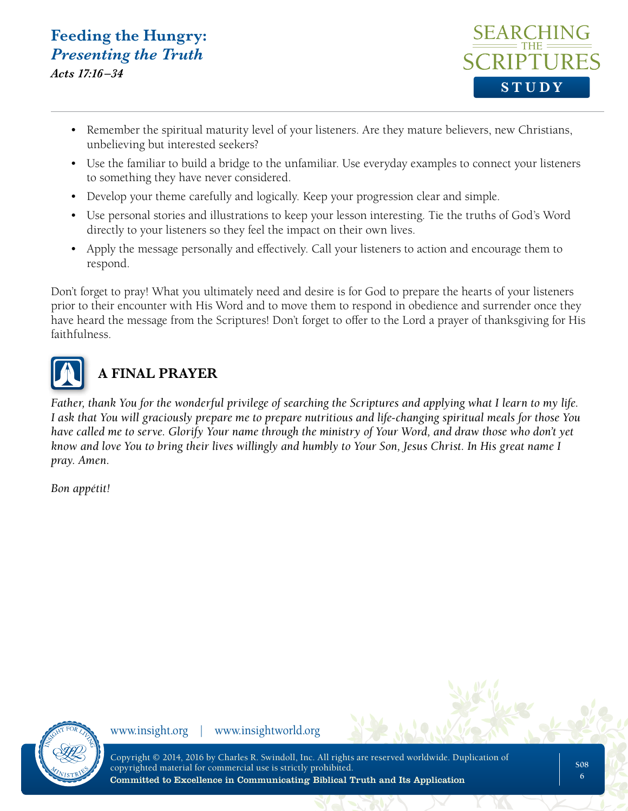*Acts 17:16 –34*



- Remember the spiritual maturity level of your listeners. Are they mature believers, new Christians, unbelieving but interested seekers?
- Use the familiar to build a bridge to the unfamiliar. Use everyday examples to connect your listeners to something they have never considered.
- Develop your theme carefully and logically. Keep your progression clear and simple.
- Use personal stories and illustrations to keep your lesson interesting. Tie the truths of God's Word directly to your listeners so they feel the impact on their own lives.
- Apply the message personally and effectively. Call your listeners to action and encourage them to respond.

Don't forget to pray! What you ultimately need and desire is for God to prepare the hearts of your listeners prior to their encounter with His Word and to move them to respond in obedience and surrender once they have heard the message from the Scriptures! Don't forget to offer to the Lord a prayer of thanksgiving for His faithfulness.



## **A FINAL PRAYER**

*Father, thank You for the wonderful privilege of searching the Scriptures and applying what I learn to my life. I ask that You will graciously prepare me to prepare nutritious and life-changing spiritual meals for those You have called me to serve. Glorify Your name through the ministry of Your Word, and draw those who don't yet know and love You to bring their lives willingly and humbly to Your Son, Jesus Christ. In His great name I pray. Amen.* 

*Bon appétit!*